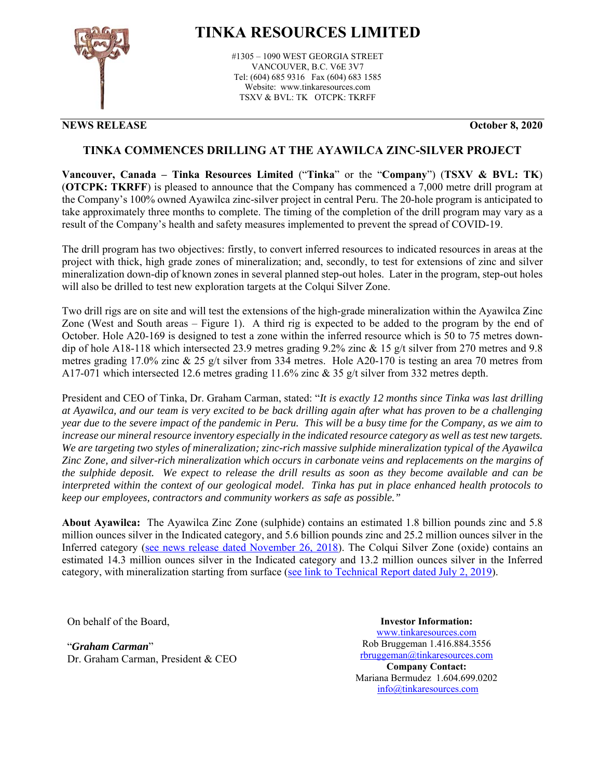

## **TINKA RESOURCES LIMITED**

#1305 – 1090 WEST GEORGIA STREET VANCOUVER, B.C. V6E 3V7 Tel: (604) 685 9316 Fax (604) 683 1585 Website: www.tinkaresources.com TSXV & BVL: TK OTCPK: TKRFF

## **NEWS RELEASE October 8, 2020**

## **TINKA COMMENCES DRILLING AT THE AYAWILCA ZINC-SILVER PROJECT**

**Vancouver, Canada – Tinka Resources Limited** ("**Tinka**" or the "**Company**") (**TSXV & BVL: TK**) (**OTCPK: TKRFF**) is pleased to announce that the Company has commenced a 7,000 metre drill program at the Company's 100% owned Ayawilca zinc-silver project in central Peru. The 20-hole program is anticipated to take approximately three months to complete. The timing of the completion of the drill program may vary as a result of the Company's health and safety measures implemented to prevent the spread of COVID-19.

The drill program has two objectives: firstly, to convert inferred resources to indicated resources in areas at the project with thick, high grade zones of mineralization; and, secondly, to test for extensions of zinc and silver mineralization down-dip of known zones in several planned step-out holes. Later in the program, step-out holes will also be drilled to test new exploration targets at the Colqui Silver Zone.

Two drill rigs are on site and will test the extensions of the high-grade mineralization within the Ayawilca Zinc Zone (West and South areas – Figure 1). A third rig is expected to be added to the program by the end of October. Hole A20-169 is designed to test a zone within the inferred resource which is 50 to 75 metres downdip of hole A18-118 which intersected 23.9 metres grading 9.2% zinc & 15 g/t silver from 270 metres and 9.8 metres grading 17.0% zinc & 25 g/t silver from 334 metres. Hole A20-170 is testing an area 70 metres from A17-071 which intersected 12.6 metres grading 11.6% zinc & 35 g/t silver from 332 metres depth.

President and CEO of Tinka, Dr. Graham Carman, stated: "*It is exactly 12 months since Tinka was last drilling at Ayawilca, and our team is very excited to be back drilling again after what has proven to be a challenging year due to the severe impact of the pandemic in Peru. This will be a busy time for the Company, as we aim to*  increase our mineral resource inventory especially in the indicated resource category as well as test new targets. *We are targeting two styles of mineralization; zinc-rich massive sulphide mineralization typical of the Ayawilca Zinc Zone, and silver-rich mineralization which occurs in carbonate veins and replacements on the margins of the sulphide deposit. We expect to release the drill results as soon as they become available and can be interpreted within the context of our geological model. Tinka has put in place enhanced health protocols to keep our employees, contractors and community workers as safe as possible."* 

**About Ayawilca:** The Ayawilca Zinc Zone (sulphide) contains an estimated 1.8 billion pounds zinc and 5.8 million ounces silver in the Indicated category, and 5.6 billion pounds zinc and 25.2 million ounces silver in the Inferred category (see news release dated November 26, 2018). The Colqui Silver Zone (oxide) contains an estimated 14.3 million ounces silver in the Indicated category and 13.2 million ounces silver in the Inferred category, with mineralization starting from surface (see link to Technical Report dated July 2, 2019).

On behalf of the Board,

"*Graham Carman*" Dr. Graham Carman, President & CEO

**Investor Information:**  www.tinkaresources.com Rob Bruggeman 1.416.884.3556 rbruggeman@tinkaresources.com **Company Contact:** Mariana Bermudez 1.604.699.0202 info@tinkaresources.com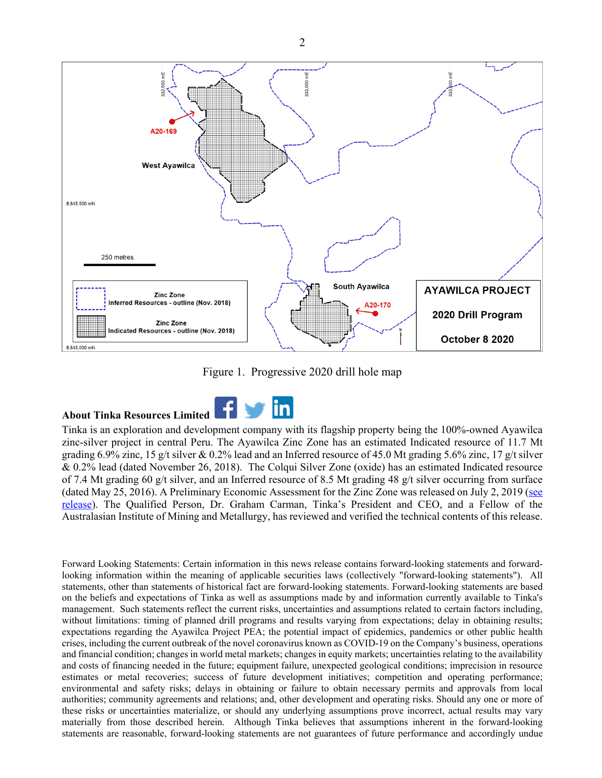

Figure 1. Progressive 2020 drill hole map

## **About Tinka Resources Limited**

Tinka is an exploration and development company with its flagship property being the 100%-owned Ayawilca zinc-silver project in central Peru. The Ayawilca Zinc Zone has an estimated Indicated resource of 11.7 Mt grading 6.9% zinc, 15 g/t silver & 0.2% lead and an Inferred resource of 45.0 Mt grading 5.6% zinc, 17 g/t silver & 0.2% lead (dated November 26, 2018). The Colqui Silver Zone (oxide) has an estimated Indicated resource of 7.4 Mt grading 60 g/t silver, and an Inferred resource of 8.5 Mt grading 48 g/t silver occurring from surface (dated May 25, 2016). A Preliminary Economic Assessment for the Zinc Zone was released on July 2, 2019 (see release). The Qualified Person, Dr. Graham Carman, Tinka's President and CEO, and a Fellow of the Australasian Institute of Mining and Metallurgy, has reviewed and verified the technical contents of this release.

Forward Looking Statements: Certain information in this news release contains forward-looking statements and forwardlooking information within the meaning of applicable securities laws (collectively "forward-looking statements"). All statements, other than statements of historical fact are forward-looking statements. Forward-looking statements are based on the beliefs and expectations of Tinka as well as assumptions made by and information currently available to Tinka's management. Such statements reflect the current risks, uncertainties and assumptions related to certain factors including, without limitations: timing of planned drill programs and results varying from expectations; delay in obtaining results; expectations regarding the Ayawilca Project PEA; the potential impact of epidemics, pandemics or other public health crises, including the current outbreak of the novel coronavirus known as COVID-19 on the Company's business, operations and financial condition; changes in world metal markets; changes in equity markets; uncertainties relating to the availability and costs of financing needed in the future; equipment failure, unexpected geological conditions; imprecision in resource estimates or metal recoveries; success of future development initiatives; competition and operating performance; environmental and safety risks; delays in obtaining or failure to obtain necessary permits and approvals from local authorities; community agreements and relations; and, other development and operating risks. Should any one or more of these risks or uncertainties materialize, or should any underlying assumptions prove incorrect, actual results may vary materially from those described herein. Although Tinka believes that assumptions inherent in the forward-looking statements are reasonable, forward-looking statements are not guarantees of future performance and accordingly undue

2